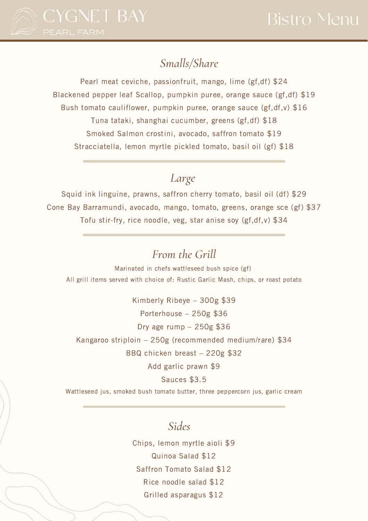

## *Smalls/Share*

Pearl meat ceviche, passionfruit, mango, lime (gf,df) \$24 Blackened pepper leaf Scallop, pumpkin puree, orange sauce (gf,df) \$19 Bush tomato cauliflower, pumpkin puree, orange sauce (gf,df,v) \$16 Tuna tataki, shanghai cucumber, greens (gf,df) \$18 Smoked Salmon crostini, avocado, saffron tomato \$19 Stracciatella, lemon myrtle pickled tomato, basil oil (gf) \$18

## *Large*

Squid ink linguine, prawns, saffron cherry tomato, basil oil (df) \$29 Cone Bay Barramundi, avocado, mango, tomato, greens, orange sce (gf) \$37 Tofu stir-fry, rice noodle, veg, star anise soy (gf,df,v) \$34

## *From the Grill*

Marinated in chefs wattleseed bush spice (gf) All grill items served with choice of: Rustic Garlic Mash, chips, or roast potato

Kimberly Ribeye – 300g \$39 Porterhouse – 250g \$36 Dry age rump – 250g \$36 Kangaroo striploin – 250g (recommended medium/rare) \$34 BBQ chicken breast – 220g \$32 Add garlic prawn \$9 Sauces \$3.5

Wattleseed jus, smoked bush tomato butter, three peppercorn jus, garlic cream

## *Sides*

Chips, lemon myrtle aioli \$9 Quinoa Salad \$12 Saffron Tomato Salad \$12 Rice noodle salad \$12 Grilled asparagus \$12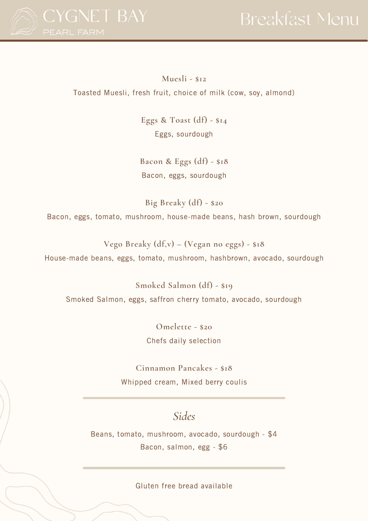

**Muesli - \$12** Toasted Muesli, fresh fruit, choice of milk (cow, soy, almond)

> **Eggs & Toast (df) - \$14** Eggs, sourdough

**Bacon & Eggs (df) - \$18** Bacon, eggs, sourdough

**Big Breaky (df) - \$20** Bacon, eggs, tomato, mushroom, house-made beans, hash brown, sourdough

**Vego Breaky (df,v) – (Vegan no eggs) - \$18** House-made beans, eggs, tomato, mushroom, hashbrown, avocado, sourdough

**Smoked Salmon (df) - \$19** Smoked Salmon, eggs, saffron cherry tomato, avocado, sourdough

> **Omelette - \$20** Chefs daily selection

**Cinnamon Pancakes - \$18** Whipped cream, Mixed berry coulis

## *Sides*

Beans, tomato, mushroom, avocado, sourdough - \$4 Bacon, salmon, egg - \$6

Gluten free bread available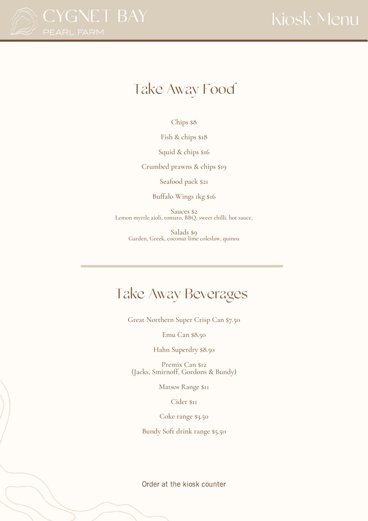

# Take Away Food

Chips \$8

Fish & chips \$18

Squid & chips \$16

Crumbed prawns & chips \$19

Seafood pack \$21

Buffalo Wings 1kg \$16

Sauces \$2 Lemon myrtle aioli, tomato, BBQ, sweet chilli, hot sauce,

Salads \$9 Garden, Greek, coconut lime coleslaw, quinoa

## Take Away Beverages

Great Northern Super Crisp Can \$7.50

Emu Can \$8.50

Hahn Superdry \$8.50

Premix Can \$12 (Jacks, Smirnoff, Gordons & Bundy)

Matsos Range \$11

Cider \$11

Coke range \$3.50

Bundy Soft drink range \$5.50

Order at the kiosk counter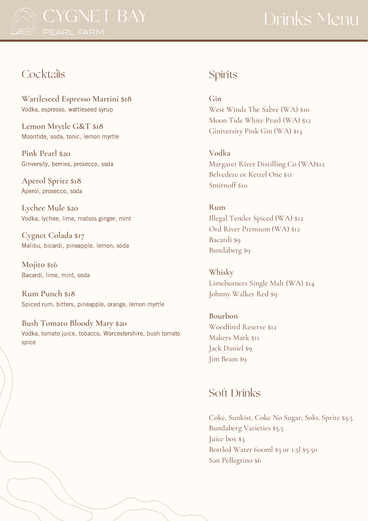

## **Cocktails**

**Wattleseed Espresso Martini \$18** Vodka, espresso, wattleseed syrup

**Lemon Mrytle G&T \$18** Moontide, soda, tonic, lemon myrtle

**Pink Pearl \$20** Ginversity, berries, prosecco, soda

**Aperol Spritz \$18** Aperol, prosecco, soda

**Lychee Mule \$20** Vodka, lychee, lime, matsos ginger, mint

**Cygnet Colada \$17** Malibu, bicardi, pineapple, lemon, soda

**Mojito \$16** Bacardi, lime, mint, soda

**Rum Punch \$18** Spiced rum, bitters, pineapple, orange, lemon myrtle

**Bush Tomato Bloody Mary \$20** Vodka, tomato juice, tobacco, Worcestershire, bush tomato spice

## Spirits

**Gin**

West Winds The Sabre (WA) \$10 Moon Tide White Pearl (WA) \$12 Giniversity Pink Gin (WA) \$13

**Vodka**

Margaret River Distilling Co (WA)\$12 Belvedere or Kettel One \$11 Smirnoff \$10

**Rum** Illegal Tender Spiced (WA) \$12 Ord River Premium (WA) \$12 Bacardi \$9 Bundaberg \$9

**Whisky** Limeburners Single Malt (WA) \$14 Johnny Walker Red \$9

**Bourbon** Woodford Reserve \$12 Makers Mark \$11 Jack Daniel \$9 Jim Beam \$9

## Soft Drinks

Coke, Sunkist, Coke No Sugar, Solo, Sprite \$3.5 Bundaberg Varieties \$5.5 Juice box \$3 Bottled Water 600ml \$3 or 1.5l \$5.50 San Pellegrino \$6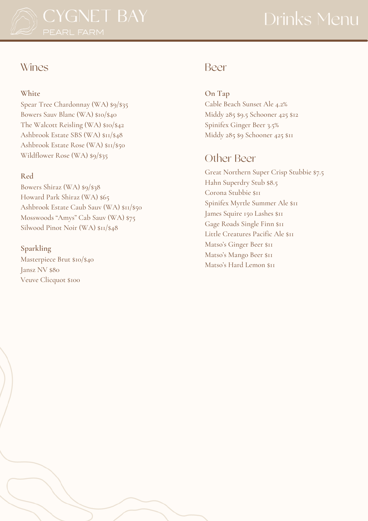

# Drinks Menu

### Wines

### **White**

Spear Tree Chardonnay (WA) \$9/\$35 Bowers Sauv Blanc (WA) \$10/\$40 The Walcott Reisling (WA) \$10/\$42 Ashbrook Estate SBS (WA) \$11/\$48 Ashbrook Estate Rose (WA) \$11/\$50 Wildflower Rose (WA) \$9/\$35

### **Red**

Bowers Shiraz (WA) \$9/\$38 Howard Park Shiraz (WA) \$65 Ashbrook Estate Caub Sauv (WA) \$11/\$50 Mosswoods "Amys" Cab Sauv (WA) \$75 Silwood Pinot Noir (WA)  $\frac{\sin\left(\frac{1}{2}A\right)}{\sin\left(\frac{1}{2}A\right)}$ 

### **Sparkling**

Masterpiece Brut \$10/\$40 Jansz NV \$80 Veuve Clicquot \$100

## Beer

**On Tap** Cable Beach Sunset Ale 4.2% Middy 285 \$9.5 Schooner 425 \$12 Spinifex Ginger Beer 3.5% Middy 285 \$9 Schooner 425 \$11

## Other Beer

Great Northern Super Crisp Stubbie \$7.5 Hahn Superdry Stub \$8.5 Corona Stubbie \$11 Spinifex Myrtle Summer Ale \$11 James Squire 150 Lashes \$11 Gage Roads Single Finn \$11 Little Creatures Pacific Ale \$11 Matso's Ginger Beer \$11 Matso's Mango Beer \$11 Matso's Hard Lemon \$11